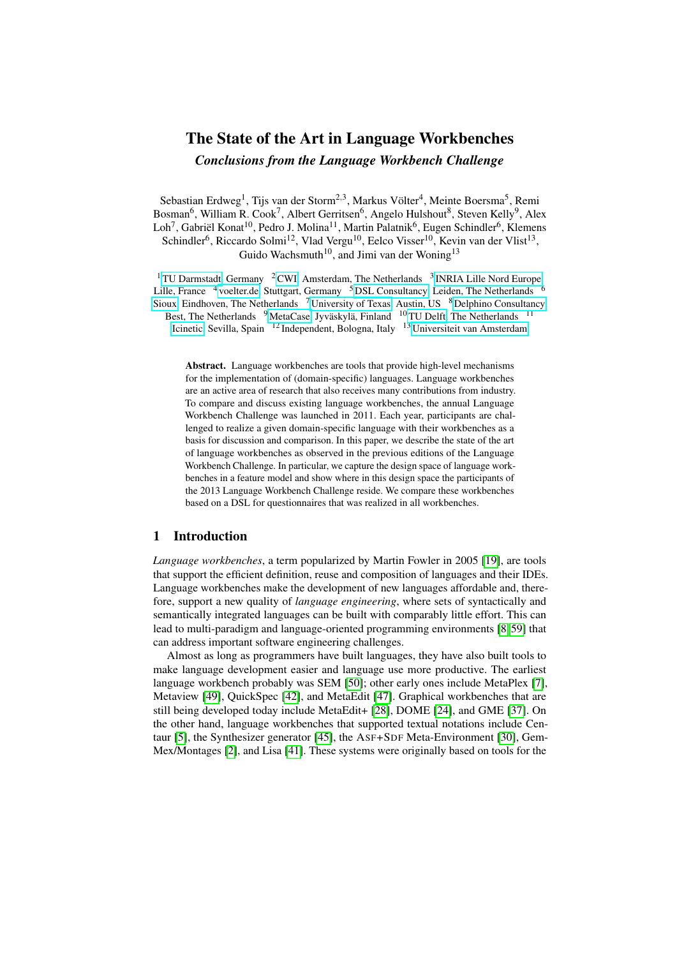# The State of the Art in Language Workbenches *Conclusions from the Language Workbench Challenge*

Sebastian Erdweg<sup>1</sup>, Tijs van der Storm<sup>2,3</sup>, Markus Völter<sup>4</sup>, Meinte Boersma<sup>5</sup>, Remi Bosman<sup>6</sup>, William R. Cook<sup>7</sup>, Albert Gerritsen<sup>6</sup>, Angelo Hulshout<sup>8</sup>, Steven Kelly<sup>9</sup>, Alex Loh<sup>7</sup>, Gabriël Konat<sup>10</sup>, Pedro J. Molina<sup>11</sup>, Martin Palatnik<sup>6</sup>, Eugen Schindler<sup>6</sup>, Klemens Schindler<sup>6</sup>, Riccardo Solmi<sup>12</sup>, Vlad Vergu<sup>10</sup>, Eelco Visser<sup>10</sup>, Kevin van der Vlist<sup>13</sup>, Guido Wachsmuth<sup>10</sup>, and Jimi van der Woning<sup>13</sup>

<sup>1</sup> [TU Darmstadt,](http://www.stg.tu-darmstadt.de/) Germany  $2$  [CWI,](http://www.cwi.nl) Amsterdam, The Netherlands  $3$  [INRIA Lille Nord Europe,](http://www.inria.fr/centre-de-recherche-inria/lille-nord-europe) Lille, France <sup>4</sup> [voelter.de,](http://www.voelter.de/) Stuttgart, Germany <sup>5</sup> [DSL Consultancy,](http://www.dslconsultancy.com/) Leiden, The Netherlands <sup>6</sup> [Sioux,](http://www.sioux.eu/en/) Eindhoven, The Netherlands  $7$  [University of Texas,](http://www.cs.texas.edu) Austin, US  $8$  [Delphino Consultancy,](http://www.delphino-consultancy.nl/) Best, The Netherlands <sup>9</sup> [MetaCase,](http://www.metacase.com/) Jyväskylä, Finland <sup>10</sup> [TU Delft,](http://www.tudelft.nl) The Netherlands <sup>11</sup> [Icinetic,](http://www.icinetic.com/) Sevilla, Spain <sup>12</sup> Independent, Bologna, Italy <sup>13</sup> [Universiteit van Amsterdam](http://www.uva.nl)

Abstract. Language workbenches are tools that provide high-level mechanisms for the implementation of (domain-specific) languages. Language workbenches are an active area of research that also receives many contributions from industry. To compare and discuss existing language workbenches, the annual Language Workbench Challenge was launched in 2011. Each year, participants are challenged to realize a given domain-specific language with their workbenches as a basis for discussion and comparison. In this paper, we describe the state of the art of language workbenches as observed in the previous editions of the Language Workbench Challenge. In particular, we capture the design space of language workbenches in a feature model and show where in this design space the participants of the 2013 Language Workbench Challenge reside. We compare these workbenches based on a DSL for questionnaires that was realized in all workbenches.

# 1 Introduction

*Language workbenches*, a term popularized by Martin Fowler in 2005 [\[19\]](#page-18-0), are tools that support the efficient definition, reuse and composition of languages and their IDEs. Language workbenches make the development of new languages affordable and, therefore, support a new quality of *language engineering*, where sets of syntactically and semantically integrated languages can be built with comparably little effort. This can lead to multi-paradigm and language-oriented programming environments [\[8,](#page-17-0) [59\]](#page-19-0) that can address important software engineering challenges.

Almost as long as programmers have built languages, they have also built tools to make language development easier and language use more productive. The earliest language workbench probably was SEM [\[50\]](#page-19-1); other early ones include MetaPlex [\[7\]](#page-17-1), Metaview [\[49\]](#page-19-2), QuickSpec [\[42\]](#page-19-3), and MetaEdit [\[47\]](#page-19-4). Graphical workbenches that are still being developed today include MetaEdit+ [\[28\]](#page-18-1), DOME [\[24\]](#page-18-2), and GME [\[37\]](#page-19-5). On the other hand, language workbenches that supported textual notations include Centaur [\[5\]](#page-17-2), the Synthesizer generator [\[45\]](#page-19-6), the ASF+SDF Meta-Environment [\[30\]](#page-18-3), Gem-Mex/Montages [\[2\]](#page-17-3), and Lisa [\[41\]](#page-19-7). These systems were originally based on tools for the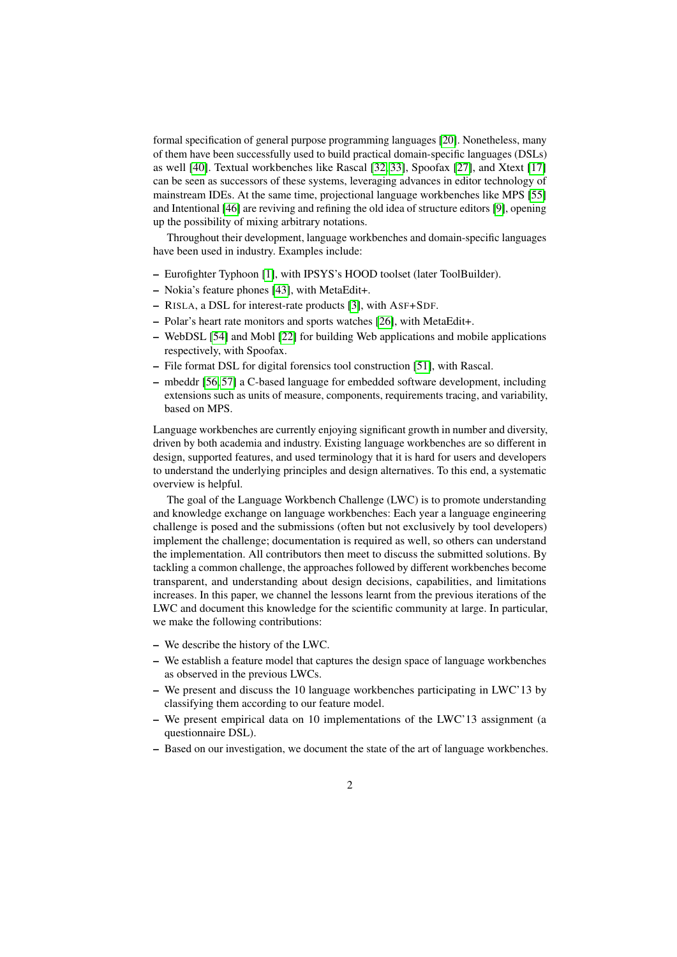formal specification of general purpose programming languages [\[20\]](#page-18-4). Nonetheless, many of them have been successfully used to build practical domain-specific languages (DSLs) as well [\[40\]](#page-19-8). Textual workbenches like Rascal [\[32,](#page-18-5) [33\]](#page-18-6), Spoofax [\[27\]](#page-18-7), and Xtext [\[17\]](#page-18-8) can be seen as successors of these systems, leveraging advances in editor technology of mainstream IDEs. At the same time, projectional language workbenches like MPS [\[55\]](#page-19-9) and Intentional [\[46\]](#page-19-10) are reviving and refining the old idea of structure editors [\[9\]](#page-18-9), opening up the possibility of mixing arbitrary notations.

Throughout their development, language workbenches and domain-specific languages have been used in industry. Examples include:

- Eurofighter Typhoon [\[1\]](#page-17-4), with IPSYS's HOOD toolset (later ToolBuilder).
- Nokia's feature phones [\[43\]](#page-19-11), with MetaEdit+.
- RISLA, a DSL for interest-rate products [\[3\]](#page-17-5), with ASF+SDF.
- Polar's heart rate monitors and sports watches [\[26\]](#page-18-10), with MetaEdit+.
- WebDSL [\[54\]](#page-19-12) and Mobl [\[22\]](#page-18-11) for building Web applications and mobile applications respectively, with Spoofax.
- File format DSL for digital forensics tool construction [\[51\]](#page-19-13), with Rascal.
- mbeddr [\[56,](#page-19-14) [57\]](#page-19-15) a C-based language for embedded software development, including extensions such as units of measure, components, requirements tracing, and variability, based on MPS.

Language workbenches are currently enjoying significant growth in number and diversity, driven by both academia and industry. Existing language workbenches are so different in design, supported features, and used terminology that it is hard for users and developers to understand the underlying principles and design alternatives. To this end, a systematic overview is helpful.

The goal of the Language Workbench Challenge (LWC) is to promote understanding and knowledge exchange on language workbenches: Each year a language engineering challenge is posed and the submissions (often but not exclusively by tool developers) implement the challenge; documentation is required as well, so others can understand the implementation. All contributors then meet to discuss the submitted solutions. By tackling a common challenge, the approaches followed by different workbenches become transparent, and understanding about design decisions, capabilities, and limitations increases. In this paper, we channel the lessons learnt from the previous iterations of the LWC and document this knowledge for the scientific community at large. In particular, we make the following contributions:

- We describe the history of the LWC.
- We establish a feature model that captures the design space of language workbenches as observed in the previous LWCs.
- We present and discuss the 10 language workbenches participating in LWC'13 by classifying them according to our feature model.
- We present empirical data on 10 implementations of the LWC'13 assignment (a questionnaire DSL).
- Based on our investigation, we document the state of the art of language workbenches.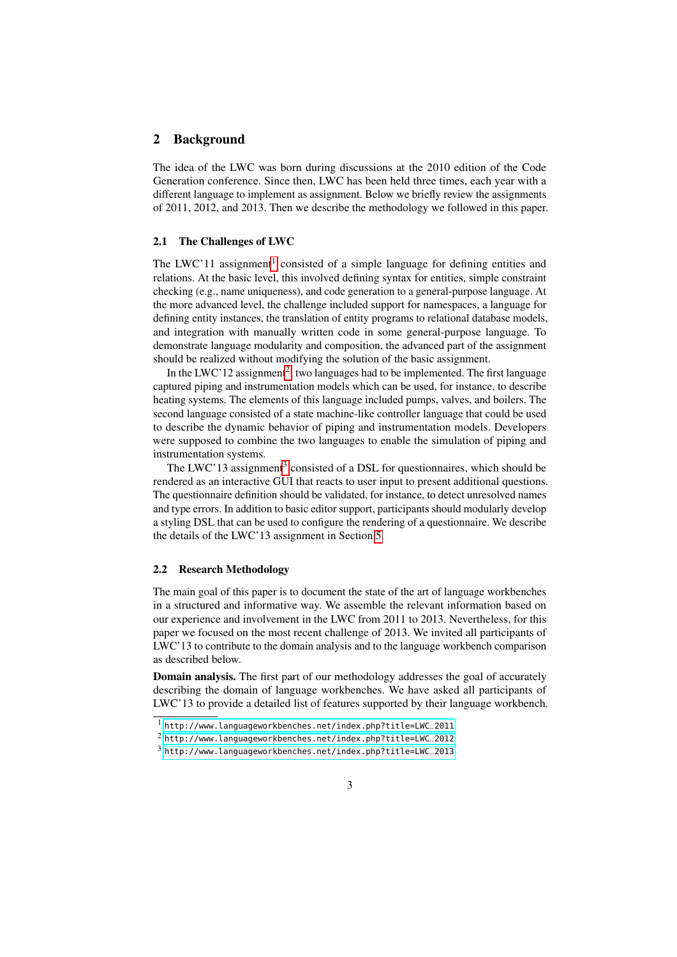# 2 Background

The idea of the LWC was born during discussions at the 2010 edition of the Code Generation conference. Since then, LWC has been held three times, each year with a different language to implement as assignment. Below we briefly review the assignments of 2011, 2012, and 2013. Then we describe the methodology we followed in this paper.

### 2.1 The Challenges of LWC

The LWC'[1](#page-2-0)1 assignment<sup>1</sup> consisted of a simple language for defining entities and relations. At the basic level, this involved defining syntax for entities, simple constraint checking (e.g., name uniqueness), and code generation to a general-purpose language. At the more advanced level, the challenge included support for namespaces, a language for defining entity instances, the translation of entity programs to relational database models, and integration with manually written code in some general-purpose language. To demonstrate language modularity and composition, the advanced part of the assignment should be realized without modifying the solution of the basic assignment.

In the LWC'1[2](#page-2-1) assignment<sup>2</sup>, two languages had to be implemented. The first language captured piping and instrumentation models which can be used, for instance, to describe heating systems. The elements of this language included pumps, valves, and boilers. The second language consisted of a state machine-like controller language that could be used to describe the dynamic behavior of piping and instrumentation models. Developers were supposed to combine the two languages to enable the simulation of piping and instrumentation systems.

The LWC'1[3](#page-2-2) assignment<sup>3</sup> consisted of a DSL for questionnaires, which should be rendered as an interactive GUI that reacts to user input to present additional questions. The questionnaire definition should be validated, for instance, to detect unresolved names and type errors. In addition to basic editor support, participants should modularly develop a styling DSL that can be used to configure the rendering of a questionnaire. We describe the details of the LWC'13 assignment in Section [5.](#page-11-0)

#### 2.2 Research Methodology

The main goal of this paper is to document the state of the art of language workbenches in a structured and informative way. We assemble the relevant information based on our experience and involvement in the LWC from 2011 to 2013. Nevertheless, for this paper we focused on the most recent challenge of 2013. We invited all participants of LWC'13 to contribute to the domain analysis and to the language workbench comparison as described below.

Domain analysis. The first part of our methodology addresses the goal of accurately describing the domain of language workbenches. We have asked all participants of LWC'13 to provide a detailed list of features supported by their language workbench.

<span id="page-2-0"></span><sup>1</sup> [http://www.languageworkbenches.net/index.php?title=LWC\\_2011](http://www.languageworkbenches.net/index.php?title=LWC_2011)

<span id="page-2-1"></span> $^2$  <code>[http://www.languageworkbenches.net/index.php?title=LWC\\_2012](http://www.languageworkbenches.net/index.php?title=LWC_2012)</code>

<span id="page-2-2"></span> $^3$  [http://www.languageworkbenches.net/index.php?title=LWC\\_2013](http://www.languageworkbenches.net/index.php?title=LWC_2013)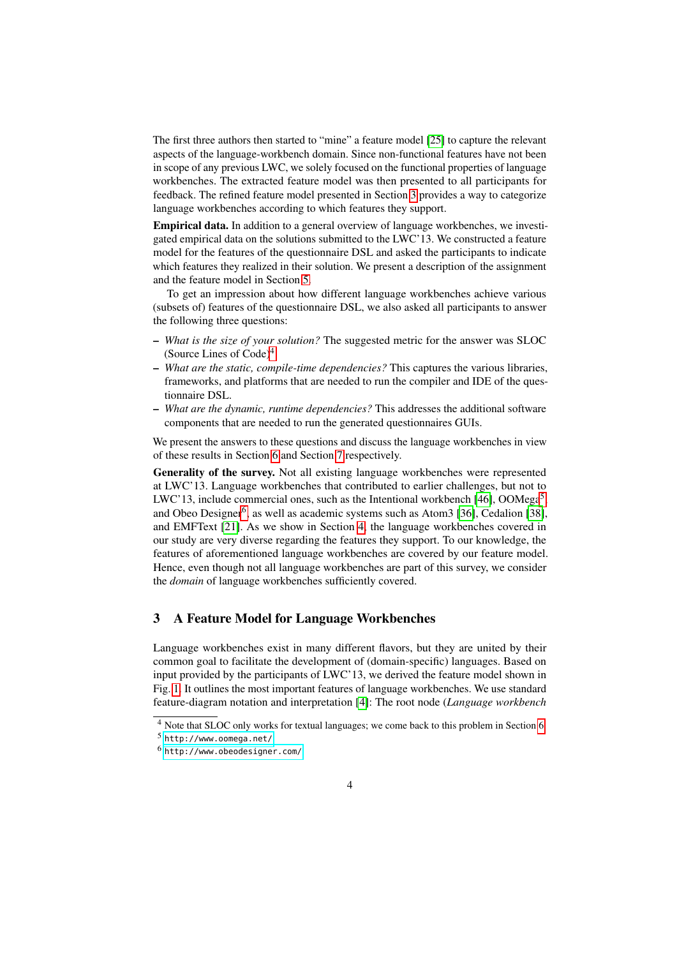The first three authors then started to "mine" a feature model [\[25\]](#page-18-12) to capture the relevant aspects of the language-workbench domain. Since non-functional features have not been in scope of any previous LWC, we solely focused on the functional properties of language workbenches. The extracted feature model was then presented to all participants for feedback. The refined feature model presented in Section [3](#page-3-0) provides a way to categorize language workbenches according to which features they support.

Empirical data. In addition to a general overview of language workbenches, we investigated empirical data on the solutions submitted to the LWC'13. We constructed a feature model for the features of the questionnaire DSL and asked the participants to indicate which features they realized in their solution. We present a description of the assignment and the feature model in Section [5.](#page-11-0)

To get an impression about how different language workbenches achieve various (subsets of) features of the questionnaire DSL, we also asked all participants to answer the following three questions:

- *What is the size of your solution?* The suggested metric for the answer was SLOC (Source Lines of Code)[4](#page-3-1) .
- *What are the static, compile-time dependencies?* This captures the various libraries, frameworks, and platforms that are needed to run the compiler and IDE of the questionnaire DSL.
- *What are the dynamic, runtime dependencies?* This addresses the additional software components that are needed to run the generated questionnaires GUIs.

We present the answers to these questions and discuss the language workbenches in view of these results in Section [6](#page-12-0) and Section [7](#page-15-0) respectively.

Generality of the survey. Not all existing language workbenches were represented at LWC'13. Language workbenches that contributed to earlier challenges, but not to LWC'13, include commercial ones, such as the Intentional workbench [\[46\]](#page-19-10), OOMega<sup>[5](#page-3-2)</sup>, and Obeo Designer<sup>[6](#page-3-3)</sup>, as well as academic systems such as Atom3 [\[36\]](#page-19-16), Cedalion [\[38\]](#page-19-17), and EMFText [\[21\]](#page-18-13). As we show in Section [4,](#page-6-0) the language workbenches covered in our study are very diverse regarding the features they support. To our knowledge, the features of aforementioned language workbenches are covered by our feature model. Hence, even though not all language workbenches are part of this survey, we consider the *domain* of language workbenches sufficiently covered.

# <span id="page-3-0"></span>3 A Feature Model for Language Workbenches

Language workbenches exist in many different flavors, but they are united by their common goal to facilitate the development of (domain-specific) languages. Based on input provided by the participants of LWC'13, we derived the feature model shown in Fig. [1.](#page-4-0) It outlines the most important features of language workbenches. We use standard feature-diagram notation and interpretation [\[4\]](#page-17-6): The root node (*Language workbench*

<span id="page-3-1"></span><sup>4</sup> Note that SLOC only works for textual languages; we come back to this problem in Section [6.](#page-12-0)

<span id="page-3-2"></span> $^5$  <http://www.oomega.net/>

<span id="page-3-3"></span> $^6$  <http://www.obeodesigner.com/>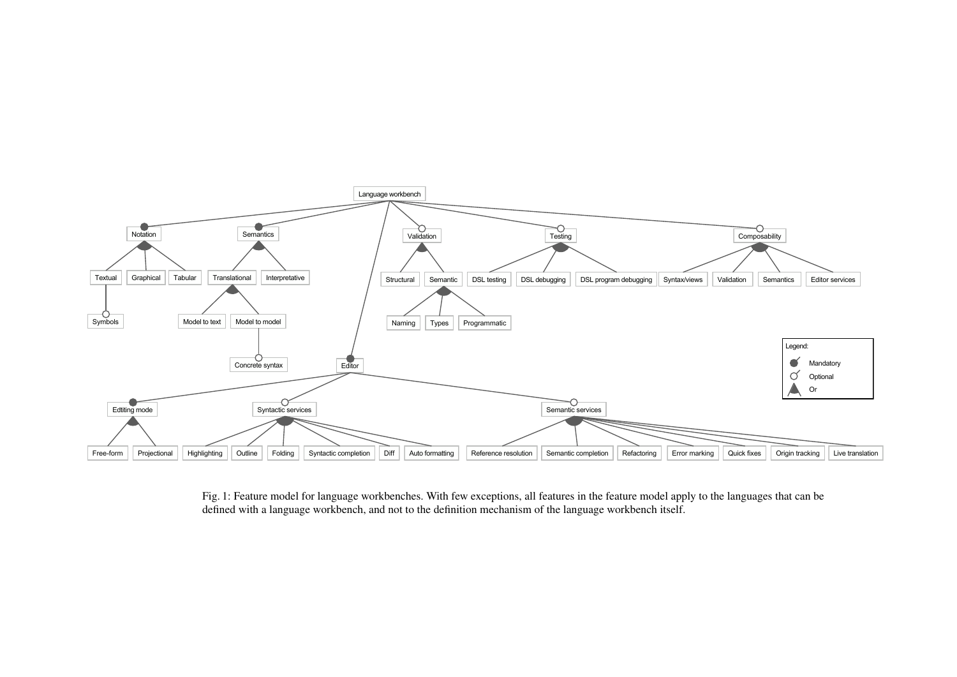<span id="page-4-0"></span>

Fig. 1: Feature model for language workbenches. With few exceptions, all features in the feature model apply to the languages that can be defined with <sup>a</sup> language workbench, and not to the definition mechanism of the language workbench itself.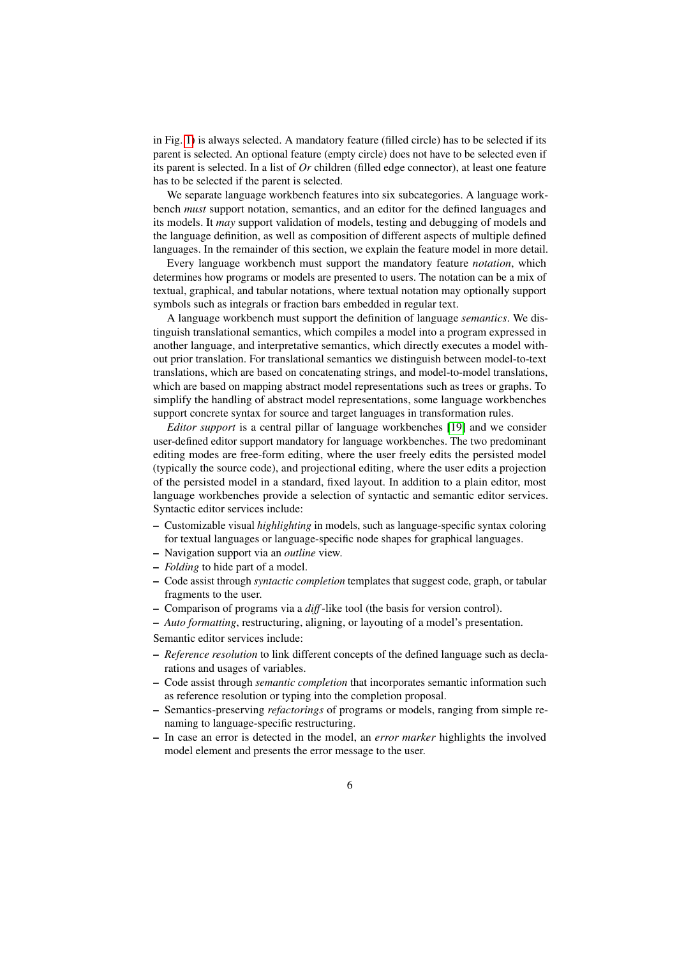in Fig. [1\)](#page-4-0) is always selected. A mandatory feature (filled circle) has to be selected if its parent is selected. An optional feature (empty circle) does not have to be selected even if its parent is selected. In a list of *Or* children (filled edge connector), at least one feature has to be selected if the parent is selected.

We separate language workbench features into six subcategories. A language workbench *must* support notation, semantics, and an editor for the defined languages and its models. It *may* support validation of models, testing and debugging of models and the language definition, as well as composition of different aspects of multiple defined languages. In the remainder of this section, we explain the feature model in more detail.

Every language workbench must support the mandatory feature *notation*, which determines how programs or models are presented to users. The notation can be a mix of textual, graphical, and tabular notations, where textual notation may optionally support symbols such as integrals or fraction bars embedded in regular text.

A language workbench must support the definition of language *semantics*. We distinguish translational semantics, which compiles a model into a program expressed in another language, and interpretative semantics, which directly executes a model without prior translation. For translational semantics we distinguish between model-to-text translations, which are based on concatenating strings, and model-to-model translations, which are based on mapping abstract model representations such as trees or graphs. To simplify the handling of abstract model representations, some language workbenches support concrete syntax for source and target languages in transformation rules.

*Editor support* is a central pillar of language workbenches [\[19\]](#page-18-0) and we consider user-defined editor support mandatory for language workbenches. The two predominant editing modes are free-form editing, where the user freely edits the persisted model (typically the source code), and projectional editing, where the user edits a projection of the persisted model in a standard, fixed layout. In addition to a plain editor, most language workbenches provide a selection of syntactic and semantic editor services. Syntactic editor services include:

- Customizable visual *highlighting* in models, such as language-specific syntax coloring for textual languages or language-specific node shapes for graphical languages.
- Navigation support via an *outline* view.
- *Folding* to hide part of a model.
- Code assist through *syntactic completion* templates that suggest code, graph, or tabular fragments to the user.
- Comparison of programs via a *diff*-like tool (the basis for version control).
- *Auto formatting*, restructuring, aligning, or layouting of a model's presentation.

Semantic editor services include:

- *Reference resolution* to link different concepts of the defined language such as declarations and usages of variables.
- Code assist through *semantic completion* that incorporates semantic information such as reference resolution or typing into the completion proposal.
- Semantics-preserving *refactorings* of programs or models, ranging from simple renaming to language-specific restructuring.
- In case an error is detected in the model, an *error marker* highlights the involved model element and presents the error message to the user.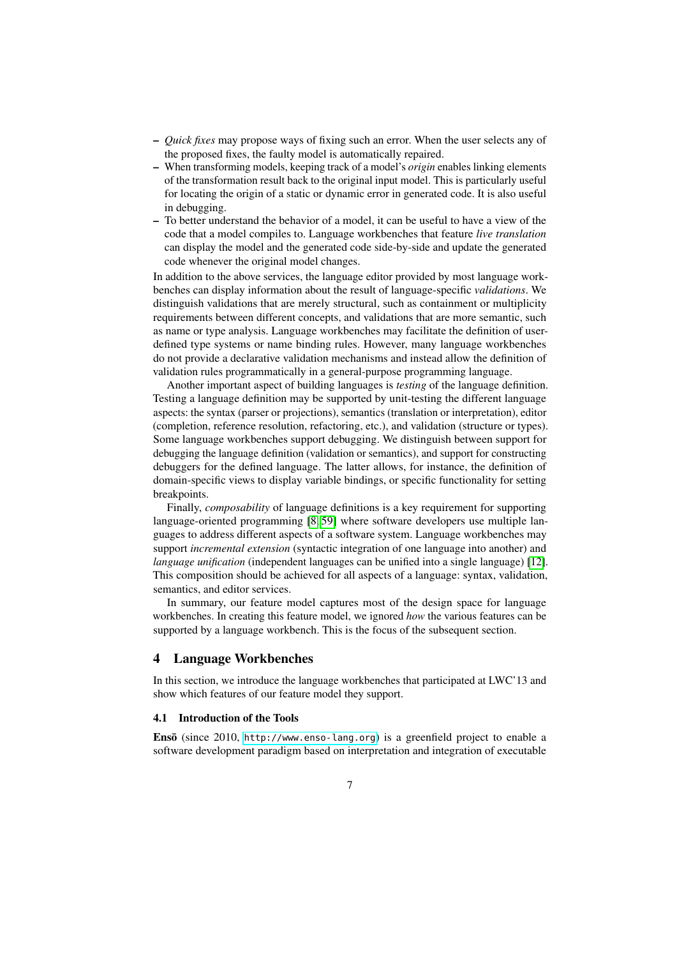- *Quick fixes* may propose ways of fixing such an error. When the user selects any of the proposed fixes, the faulty model is automatically repaired.
- When transforming models, keeping track of a model's *origin* enables linking elements of the transformation result back to the original input model. This is particularly useful for locating the origin of a static or dynamic error in generated code. It is also useful in debugging.
- To better understand the behavior of a model, it can be useful to have a view of the code that a model compiles to. Language workbenches that feature *live translation* can display the model and the generated code side-by-side and update the generated code whenever the original model changes.

In addition to the above services, the language editor provided by most language workbenches can display information about the result of language-specific *validations*. We distinguish validations that are merely structural, such as containment or multiplicity requirements between different concepts, and validations that are more semantic, such as name or type analysis. Language workbenches may facilitate the definition of userdefined type systems or name binding rules. However, many language workbenches do not provide a declarative validation mechanisms and instead allow the definition of validation rules programmatically in a general-purpose programming language.

Another important aspect of building languages is *testing* of the language definition. Testing a language definition may be supported by unit-testing the different language aspects: the syntax (parser or projections), semantics (translation or interpretation), editor (completion, reference resolution, refactoring, etc.), and validation (structure or types). Some language workbenches support debugging. We distinguish between support for debugging the language definition (validation or semantics), and support for constructing debuggers for the defined language. The latter allows, for instance, the definition of domain-specific views to display variable bindings, or specific functionality for setting breakpoints.

Finally, *composability* of language definitions is a key requirement for supporting language-oriented programming [\[8,](#page-17-0) [59\]](#page-19-0) where software developers use multiple languages to address different aspects of a software system. Language workbenches may support *incremental extension* (syntactic integration of one language into another) and *language unification* (independent languages can be unified into a single language) [\[12\]](#page-18-14). This composition should be achieved for all aspects of a language: syntax, validation, semantics, and editor services.

In summary, our feature model captures most of the design space for language workbenches. In creating this feature model, we ignored *how* the various features can be supported by a language workbench. This is the focus of the subsequent section.

### <span id="page-6-0"></span>4 Language Workbenches

In this section, we introduce the language workbenches that participated at LWC'13 and show which features of our feature model they support.

#### 4.1 Introduction of the Tools

Enso (since 2010, <http://www.enso-lang.org>) is a greenfield project to enable a software development paradigm based on interpretation and integration of executable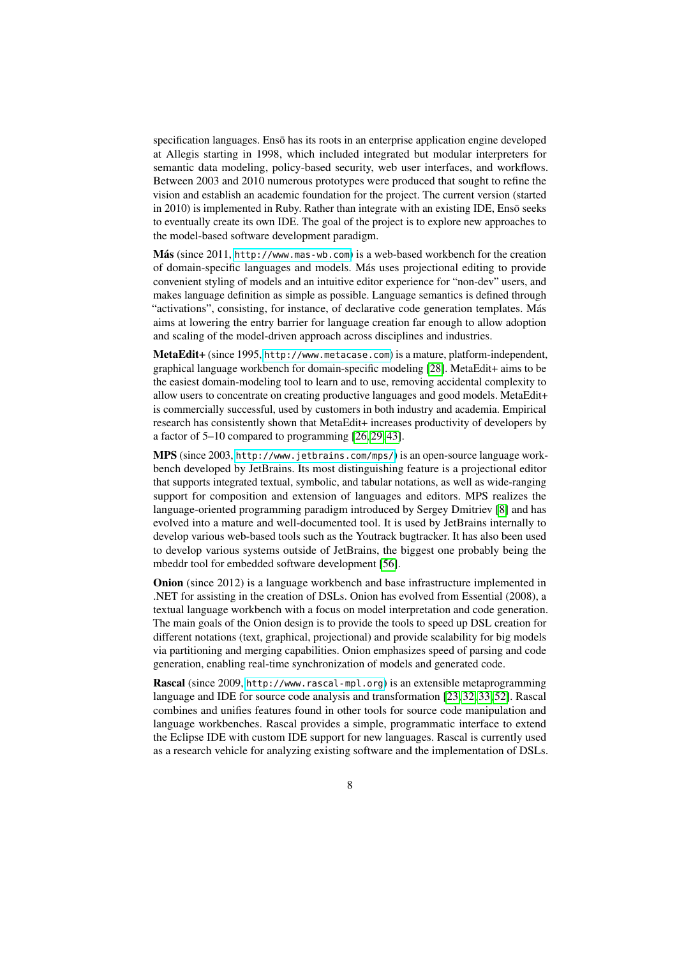specification languages. Enso has its roots in an enterprise application engine developed at Allegis starting in 1998, which included integrated but modular interpreters for semantic data modeling, policy-based security, web user interfaces, and workflows. Between 2003 and 2010 numerous prototypes were produced that sought to refine the vision and establish an academic foundation for the project. The current version (started in 2010) is implemented in Ruby. Rather than integrate with an existing IDE, Ensō seeks to eventually create its own IDE. The goal of the project is to explore new approaches to the model-based software development paradigm.

Más (since 2011, <http://www.mas-wb.com>) is a web-based workbench for the creation of domain-specific languages and models. Más uses projectional editing to provide convenient styling of models and an intuitive editor experience for "non-dev" users, and makes language definition as simple as possible. Language semantics is defined through "activations", consisting, for instance, of declarative code generation templates. Más aims at lowering the entry barrier for language creation far enough to allow adoption and scaling of the model-driven approach across disciplines and industries.

MetaEdit+ (since 1995, <http://www.metacase.com>) is a mature, platform-independent, graphical language workbench for domain-specific modeling [\[28\]](#page-18-1). MetaEdit+ aims to be the easiest domain-modeling tool to learn and to use, removing accidental complexity to allow users to concentrate on creating productive languages and good models. MetaEdit+ is commercially successful, used by customers in both industry and academia. Empirical research has consistently shown that MetaEdit+ increases productivity of developers by a factor of 5–10 compared to programming [\[26,](#page-18-10) [29,](#page-18-15) [43\]](#page-19-11).

**MPS** (since 2003, <http://www.jetbrains.com/mps/>) is an open-source language workbench developed by JetBrains. Its most distinguishing feature is a projectional editor that supports integrated textual, symbolic, and tabular notations, as well as wide-ranging support for composition and extension of languages and editors. MPS realizes the language-oriented programming paradigm introduced by Sergey Dmitriev [\[8\]](#page-17-0) and has evolved into a mature and well-documented tool. It is used by JetBrains internally to develop various web-based tools such as the Youtrack bugtracker. It has also been used to develop various systems outside of JetBrains, the biggest one probably being the mbeddr tool for embedded software development [\[56\]](#page-19-14).

Onion (since 2012) is a language workbench and base infrastructure implemented in .NET for assisting in the creation of DSLs. Onion has evolved from Essential (2008), a textual language workbench with a focus on model interpretation and code generation. The main goals of the Onion design is to provide the tools to speed up DSL creation for different notations (text, graphical, projectional) and provide scalability for big models via partitioning and merging capabilities. Onion emphasizes speed of parsing and code generation, enabling real-time synchronization of models and generated code.

Rascal (since 2009, <http://www.rascal-mpl.org>) is an extensible metaprogramming language and IDE for source code analysis and transformation [\[23,](#page-18-16) [32,](#page-18-5) [33,](#page-18-6) [52\]](#page-19-18). Rascal combines and unifies features found in other tools for source code manipulation and language workbenches. Rascal provides a simple, programmatic interface to extend the Eclipse IDE with custom IDE support for new languages. Rascal is currently used as a research vehicle for analyzing existing software and the implementation of DSLs.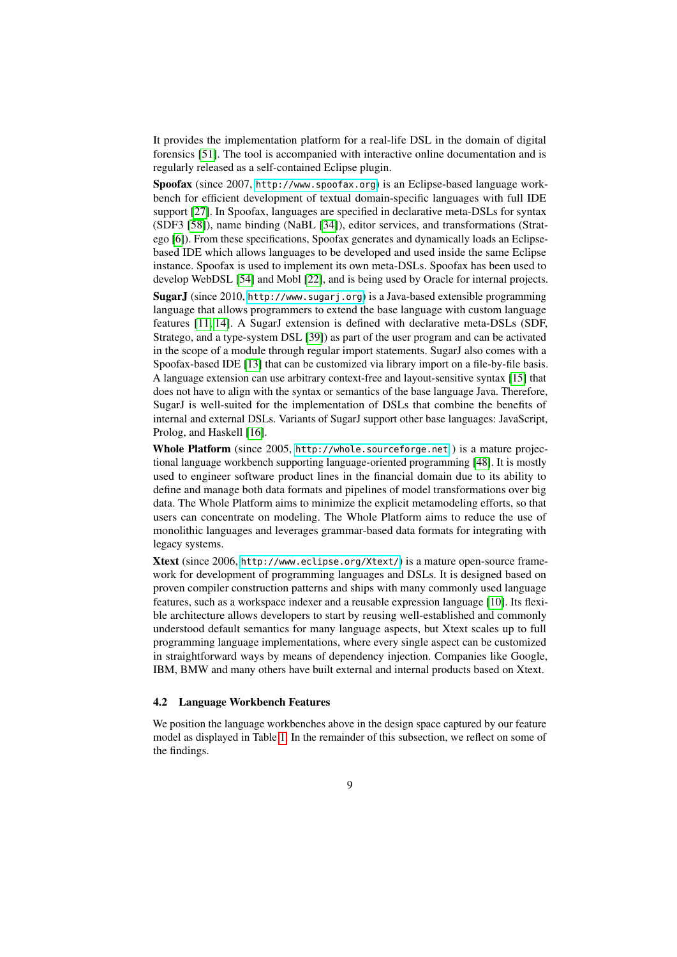It provides the implementation platform for a real-life DSL in the domain of digital forensics [\[51\]](#page-19-13). The tool is accompanied with interactive online documentation and is regularly released as a self-contained Eclipse plugin.

Spoofax (since 2007, <http://www.spoofax.org>) is an Eclipse-based language workbench for efficient development of textual domain-specific languages with full IDE support [\[27\]](#page-18-7). In Spoofax, languages are specified in declarative meta-DSLs for syntax (SDF3 [\[58\]](#page-19-19)), name binding (NaBL [\[34\]](#page-18-17)), editor services, and transformations (Stratego [\[6\]](#page-17-7)). From these specifications, Spoofax generates and dynamically loads an Eclipsebased IDE which allows languages to be developed and used inside the same Eclipse instance. Spoofax is used to implement its own meta-DSLs. Spoofax has been used to develop WebDSL [\[54\]](#page-19-12) and Mobl [\[22\]](#page-18-11), and is being used by Oracle for internal projects.

SugarJ (since 2010, <http://www.sugarj.org>) is a Java-based extensible programming language that allows programmers to extend the base language with custom language features [\[11,](#page-18-18) [14\]](#page-18-19). A SugarJ extension is defined with declarative meta-DSLs (SDF, Stratego, and a type-system DSL [\[39\]](#page-19-20)) as part of the user program and can be activated in the scope of a module through regular import statements. SugarJ also comes with a Spoofax-based IDE [\[13\]](#page-18-20) that can be customized via library import on a file-by-file basis. A language extension can use arbitrary context-free and layout-sensitive syntax [\[15\]](#page-18-21) that does not have to align with the syntax or semantics of the base language Java. Therefore, SugarJ is well-suited for the implementation of DSLs that combine the benefits of internal and external DSLs. Variants of SugarJ support other base languages: JavaScript, Prolog, and Haskell [\[16\]](#page-18-22).

Whole Platform (since 2005, <http://whole.sourceforge.net> ) is a mature projectional language workbench supporting language-oriented programming [\[48\]](#page-19-21). It is mostly used to engineer software product lines in the financial domain due to its ability to define and manage both data formats and pipelines of model transformations over big data. The Whole Platform aims to minimize the explicit metamodeling efforts, so that users can concentrate on modeling. The Whole Platform aims to reduce the use of monolithic languages and leverages grammar-based data formats for integrating with legacy systems.

Xtext (since 2006, <http://www.eclipse.org/Xtext/>) is a mature open-source framework for development of programming languages and DSLs. It is designed based on proven compiler construction patterns and ships with many commonly used language features, such as a workspace indexer and a reusable expression language [\[10\]](#page-18-23). Its flexible architecture allows developers to start by reusing well-established and commonly understood default semantics for many language aspects, but Xtext scales up to full programming language implementations, where every single aspect can be customized in straightforward ways by means of dependency injection. Companies like Google, IBM, BMW and many others have built external and internal products based on Xtext.

### 4.2 Language Workbench Features

We position the language workbenches above in the design space captured by our feature model as displayed in Table [1.](#page-9-0) In the remainder of this subsection, we reflect on some of the findings.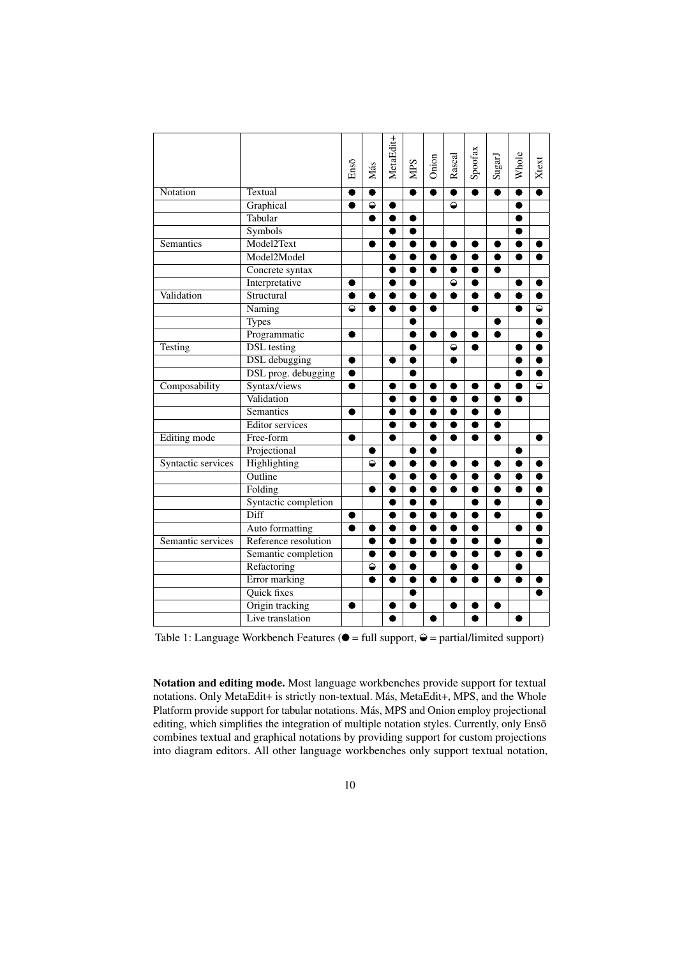<span id="page-9-0"></span>

|                     |                          | Ensō      | Más | MetaEdit+ | <b>NIPS</b> | Onion     | Rascal            | Spoofax   | SugarJ    | Whole | Xtext         |
|---------------------|--------------------------|-----------|-----|-----------|-------------|-----------|-------------------|-----------|-----------|-------|---------------|
| Notation            | Textual                  |           |     |           | $\bullet$   |           | $\bullet$         | $\bullet$ |           |       |               |
|                     | Graphical                |           | ◒   |           |             |           | $\mathbf{\Theta}$ |           |           |       |               |
|                     | Tabular                  |           |     |           |             |           |                   |           |           |       |               |
|                     | Symbols                  |           |     |           |             |           |                   |           |           |       |               |
| Semantics           | Model2Text               |           |     |           |             |           |                   |           |           |       |               |
|                     | Model <sub>2</sub> Model |           |     |           |             | $\bullet$ |                   |           |           |       |               |
|                     | Concrete syntax          |           |     |           |             | ●         |                   |           |           |       |               |
|                     | Interpretative           | ●         |     |           |             |           | ◒                 |           |           |       |               |
| Validation          | Structural               | ●         | e   | ●         | 0           | ●         | ●                 | ●         | ●         |       |               |
|                     | Naming                   | ◒         |     | ●         | 0           | $\bullet$ |                   | ●         |           | e     | ◒             |
|                     | <b>Types</b>             |           |     |           | ●           |           |                   |           |           |       |               |
|                     | Programmatic             | $\bullet$ |     |           | ●           | $\bullet$ | ●                 | ●         | $\bullet$ |       |               |
| Testing             | <b>DSL</b> testing       |           |     |           |             |           | $\bullet$         | ●         |           | 0     |               |
|                     | <b>DSL</b> debugging     | $\bullet$ |     | O         |             |           | ●                 |           |           |       |               |
|                     | DSL prog. debugging      | ●         |     |           |             |           |                   |           |           |       |               |
| Composability       | Syntax/views             | ●         |     |           |             |           |                   |           |           |       | $\Rightarrow$ |
|                     | Validation               |           |     |           |             |           |                   |           |           |       |               |
|                     | Semantics                | ●         |     |           |             |           |                   |           |           |       |               |
|                     | <b>Editor</b> services   |           |     |           |             |           |                   |           |           |       |               |
| <b>Editing mode</b> | Free-form                | ●         |     |           |             |           |                   |           |           |       |               |
|                     | Projectional             |           |     |           |             |           |                   |           |           |       |               |
| Syntactic services  | Highlighting             |           | ◒   | 0         |             |           |                   |           |           |       |               |
|                     | Outline                  |           |     |           | ●           | ●         | ●                 |           |           |       |               |
|                     | Folding                  |           |     |           |             | ●         |                   |           |           |       |               |
|                     | Syntactic completion     |           |     | O         | 0           | $\bullet$ |                   |           | ●         |       |               |
|                     | Diff                     | ●         |     | 0         | ●           | $\bullet$ | e                 |           | ●         |       |               |
|                     | Auto formatting          | $\bullet$ | ●   |           |             | $\bullet$ | ●                 | 0         |           | 0     |               |
| Semantic services   | Reference resolution     |           | ●   | $\bullet$ | $\bullet$   | $\bullet$ | $\bullet$         | $\bullet$ | $\bullet$ |       | 0             |
|                     | Semantic completion      |           | ●   | ●         | 0           | $\bullet$ | ●                 | $\bullet$ | $\bullet$ | 0     | ●             |
|                     | Refactoring              |           | ◒   | ●         |             |           |                   | ●         |           | ●     |               |
|                     | Error marking            |           | ●   |           |             | ●         | ●                 | ●         | ●         |       |               |
|                     | Quick fixes              |           |     |           |             |           |                   |           |           |       |               |
|                     | Origin tracking          | ●         |     |           |             |           | σ                 |           | 0         |       |               |
|                     | Live translation         |           |     |           |             |           |                   |           |           |       |               |
|                     |                          |           |     |           |             |           |                   |           |           |       |               |

Table 1: Language Workbench Features ( $\bullet$  = full support,  $\ominus$  = partial/limited support)

Notation and editing mode. Most language workbenches provide support for textual notations. Only MetaEdit+ is strictly non-textual. Más, MetaEdit+, MPS, and the Whole Platform provide support for tabular notations. Más, MPS and Onion employ projectional editing, which simplifies the integration of multiple notation styles. Currently, only Enso combines textual and graphical notations by providing support for custom projections into diagram editors. All other language workbenches only support textual notation,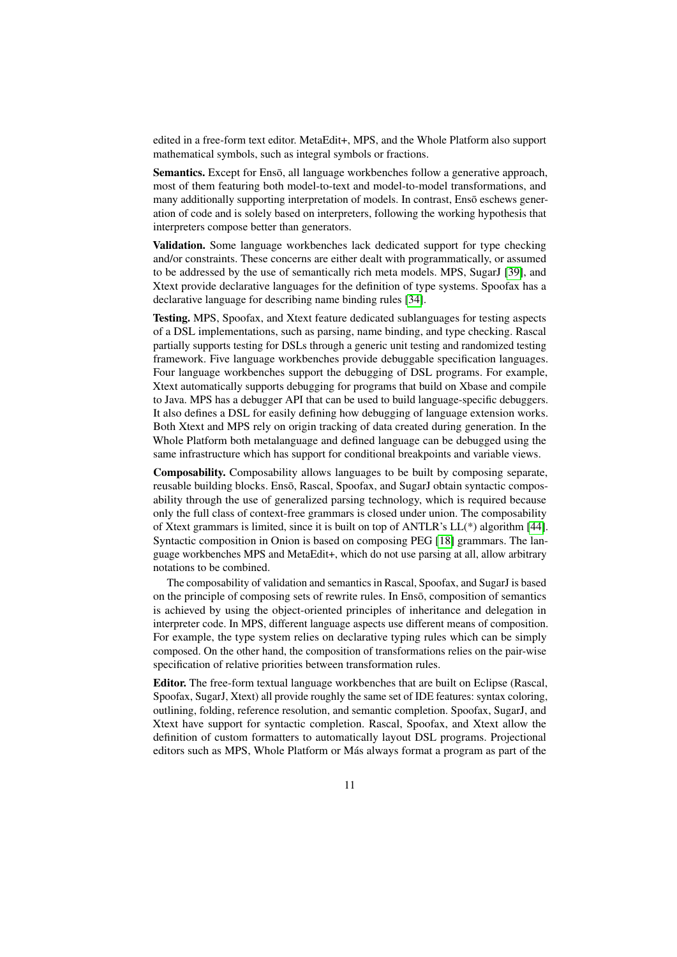edited in a free-form text editor. MetaEdit+, MPS, and the Whole Platform also support mathematical symbols, such as integral symbols or fractions.

Semantics. Except for Enso, all language workbenches follow a generative approach, most of them featuring both model-to-text and model-to-model transformations, and many additionally supporting interpretation of models. In contrast, Enso eschews generation of code and is solely based on interpreters, following the working hypothesis that interpreters compose better than generators.

Validation. Some language workbenches lack dedicated support for type checking and/or constraints. These concerns are either dealt with programmatically, or assumed to be addressed by the use of semantically rich meta models. MPS, SugarJ [\[39\]](#page-19-20), and Xtext provide declarative languages for the definition of type systems. Spoofax has a declarative language for describing name binding rules [\[34\]](#page-18-17).

Testing. MPS, Spoofax, and Xtext feature dedicated sublanguages for testing aspects of a DSL implementations, such as parsing, name binding, and type checking. Rascal partially supports testing for DSLs through a generic unit testing and randomized testing framework. Five language workbenches provide debuggable specification languages. Four language workbenches support the debugging of DSL programs. For example, Xtext automatically supports debugging for programs that build on Xbase and compile to Java. MPS has a debugger API that can be used to build language-specific debuggers. It also defines a DSL for easily defining how debugging of language extension works. Both Xtext and MPS rely on origin tracking of data created during generation. In the Whole Platform both metalanguage and defined language can be debugged using the same infrastructure which has support for conditional breakpoints and variable views.

Composability. Composability allows languages to be built by composing separate, reusable building blocks. Ensō, Rascal, Spoofax, and SugarJ obtain syntactic composability through the use of generalized parsing technology, which is required because only the full class of context-free grammars is closed under union. The composability of Xtext grammars is limited, since it is built on top of ANTLR's LL(\*) algorithm [\[44\]](#page-19-22). Syntactic composition in Onion is based on composing PEG [\[18\]](#page-18-24) grammars. The language workbenches MPS and MetaEdit+, which do not use parsing at all, allow arbitrary notations to be combined.

The composability of validation and semantics in Rascal, Spoofax, and SugarJ is based on the principle of composing sets of rewrite rules. In Enso, composition of semantics is achieved by using the object-oriented principles of inheritance and delegation in interpreter code. In MPS, different language aspects use different means of composition. For example, the type system relies on declarative typing rules which can be simply composed. On the other hand, the composition of transformations relies on the pair-wise specification of relative priorities between transformation rules.

Editor. The free-form textual language workbenches that are built on Eclipse (Rascal, Spoofax, SugarJ, Xtext) all provide roughly the same set of IDE features: syntax coloring, outlining, folding, reference resolution, and semantic completion. Spoofax, SugarJ, and Xtext have support for syntactic completion. Rascal, Spoofax, and Xtext allow the definition of custom formatters to automatically layout DSL programs. Projectional editors such as MPS, Whole Platform or Más always format a program as part of the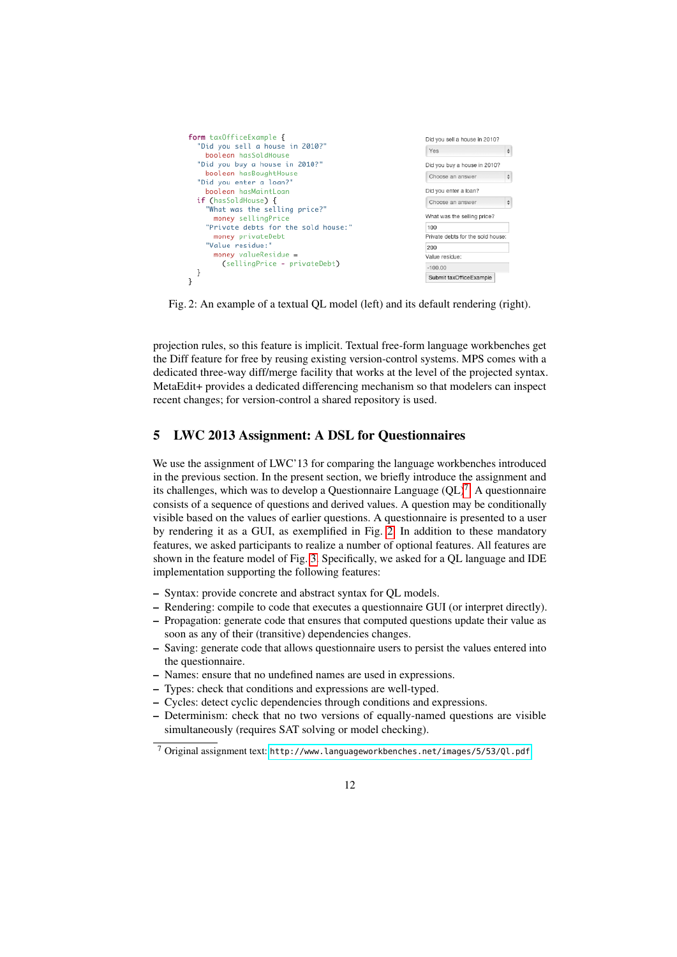<span id="page-11-2"></span>

Fig. 2: An example of a textual QL model (left) and its default rendering (right).

projection rules, so this feature is implicit. Textual free-form language workbenches get the Diff feature for free by reusing existing version-control systems. MPS comes with a dedicated three-way diff/merge facility that works at the level of the projected syntax. MetaEdit+ provides a dedicated differencing mechanism so that modelers can inspect recent changes; for version-control a shared repository is used.

# <span id="page-11-0"></span>5 LWC 2013 Assignment: A DSL for Questionnaires

We use the assignment of LWC'13 for comparing the language workbenches introduced in the previous section. In the present section, we briefly introduce the assignment and its challenges, which was to develop a Questionnaire Language  $(QL)^7$  $(QL)^7$ . A questionnaire consists of a sequence of questions and derived values. A question may be conditionally visible based on the values of earlier questions. A questionnaire is presented to a user by rendering it as a GUI, as exemplified in Fig. [2.](#page-11-2) In addition to these mandatory features, we asked participants to realize a number of optional features. All features are shown in the feature model of Fig. [3.](#page-12-1) Specifically, we asked for a QL language and IDE implementation supporting the following features:

- Syntax: provide concrete and abstract syntax for QL models.
- Rendering: compile to code that executes a questionnaire GUI (or interpret directly).
- Propagation: generate code that ensures that computed questions update their value as soon as any of their (transitive) dependencies changes.
- Saving: generate code that allows questionnaire users to persist the values entered into the questionnaire.
- Names: ensure that no undefined names are used in expressions.
- Types: check that conditions and expressions are well-typed.
- Cycles: detect cyclic dependencies through conditions and expressions.
- Determinism: check that no two versions of equally-named questions are visible simultaneously (requires SAT solving or model checking).

<span id="page-11-1"></span><sup>7</sup> Original assignment text: <http://www.languageworkbenches.net/images/5/53/Ql.pdf>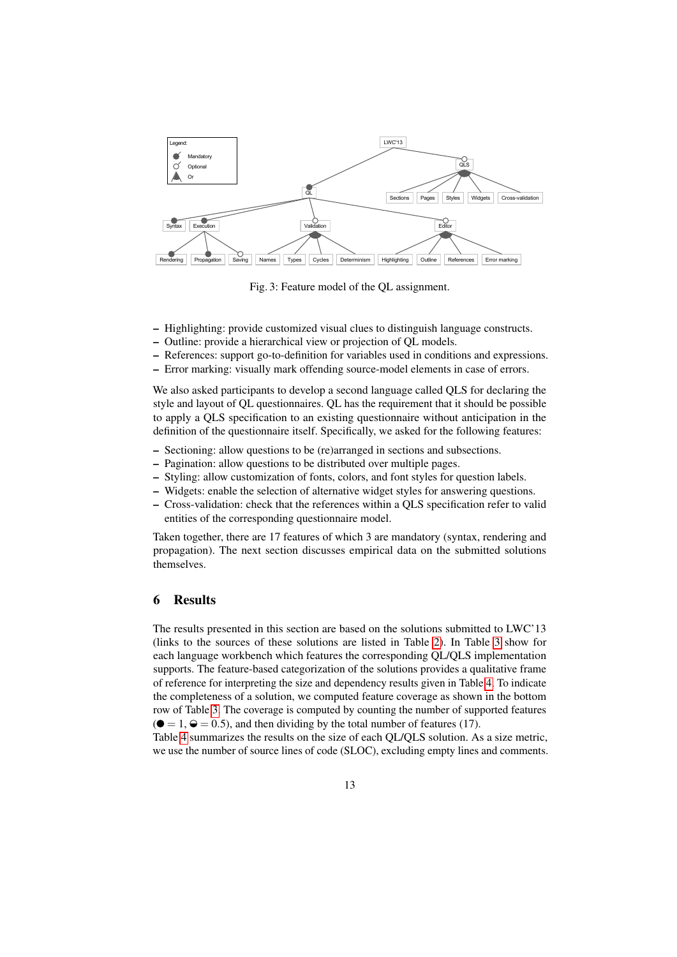<span id="page-12-1"></span>

Fig. 3: Feature model of the QL assignment.

- Highlighting: provide customized visual clues to distinguish language constructs.
- Outline: provide a hierarchical view or projection of QL models.
- References: support go-to-definition for variables used in conditions and expressions.
- Error marking: visually mark offending source-model elements in case of errors.

We also asked participants to develop a second language called QLS for declaring the style and layout of QL questionnaires. QL has the requirement that it should be possible to apply a QLS specification to an existing questionnaire without anticipation in the definition of the questionnaire itself. Specifically, we asked for the following features:

- Sectioning: allow questions to be (re)arranged in sections and subsections.
- Pagination: allow questions to be distributed over multiple pages.
- Styling: allow customization of fonts, colors, and font styles for question labels.
- Widgets: enable the selection of alternative widget styles for answering questions.
- Cross-validation: check that the references within a QLS specification refer to valid entities of the corresponding questionnaire model.

Taken together, there are 17 features of which 3 are mandatory (syntax, rendering and propagation). The next section discusses empirical data on the submitted solutions themselves.

### <span id="page-12-0"></span>6 Results

The results presented in this section are based on the solutions submitted to LWC'13 (links to the sources of these solutions are listed in Table [2\)](#page-13-0). In Table [3](#page-14-0) show for each language workbench which features the corresponding QL/QLS implementation supports. The feature-based categorization of the solutions provides a qualitative frame of reference for interpreting the size and dependency results given in Table [4.](#page-15-1) To indicate the completeness of a solution, we computed feature coverage as shown in the bottom row of Table [3.](#page-14-0) The coverage is computed by counting the number of supported features  $($   $\bullet$  = 1,  $\bullet$  = 0.5), and then dividing by the total number of features (17).

Table [4](#page-15-1) summarizes the results on the size of each QL/QLS solution. As a size metric, we use the number of source lines of code (SLOC), excluding empty lines and comments.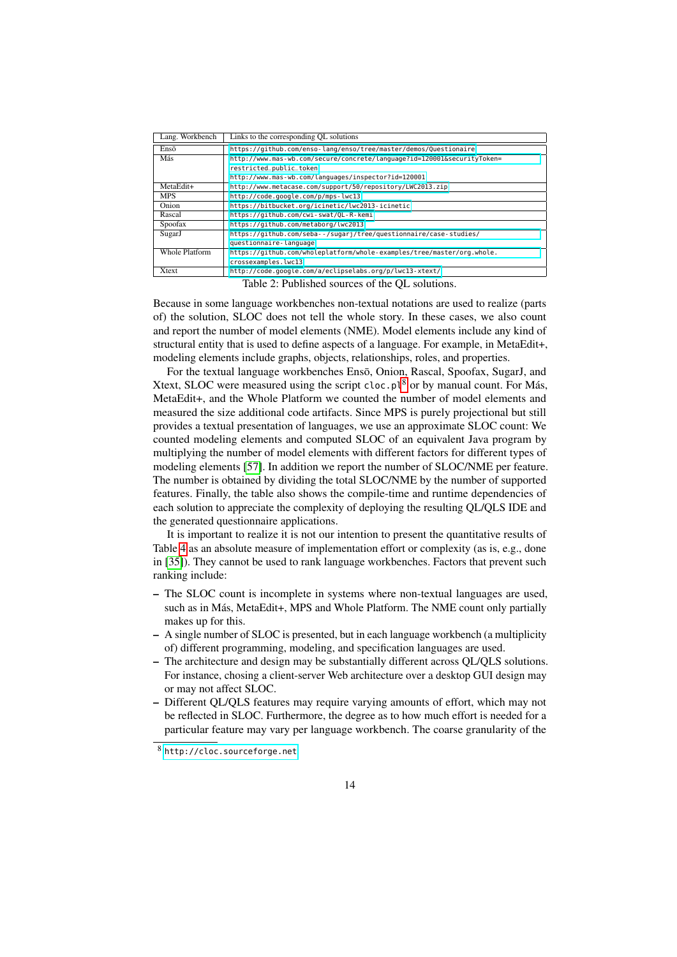<span id="page-13-0"></span>

| Lang. Workbench | Links to the corresponding QL solutions                                 |
|-----------------|-------------------------------------------------------------------------|
| Ensō            | https://qithub.com/enso-lang/enso/tree/master/demos/Questionaire        |
| Más             | http://www.mas-wb.com/secure/concrete/language?id=120001&securityToken= |
|                 | restricted_public_token                                                 |
|                 | http://www.mas-wb.com/languages/inspector?id=120001                     |
| MetaEdit+       | http://www.metacase.com/support/50/repository/LWC2013.zip               |
| <b>MPS</b>      | http://code.google.com/p/mps-lwc13                                      |
| Onion           | https://bitbucket.org/icinetic/lwc2013-icinetic                         |
| Rascal          | https://qithub.com/cwi-swat/QL-R-kemi                                   |
| Spoofax         | https://qithub.com/metaborg/lwc2013                                     |
| SugarJ          | https://github.com/seba--/sugarj/tree/guestionnaire/case-studies/       |
|                 | questionnaire-language                                                  |
| Whole Platform  | https://qithub.com/wholeplatform/whole-examples/tree/master/org.whole.  |
|                 | crossexamples.lwc13                                                     |
| Xtext           | http://code.google.com/a/eclipselabs.org/p/lwc13-xtext/                 |

Table 2: Published sources of the QL solutions.

Because in some language workbenches non-textual notations are used to realize (parts of) the solution, SLOC does not tell the whole story. In these cases, we also count and report the number of model elements (NME). Model elements include any kind of structural entity that is used to define aspects of a language. For example, in MetaEdit+, modeling elements include graphs, objects, relationships, roles, and properties.

For the textual language workbenches Ensō, Onion, Rascal, Spoofax, SugarJ, and Xtext, SLOC were measured using the script cloc.pl<sup>[8](#page-13-1)</sup> or by manual count. For Más, MetaEdit+, and the Whole Platform we counted the number of model elements and measured the size additional code artifacts. Since MPS is purely projectional but still provides a textual presentation of languages, we use an approximate SLOC count: We counted modeling elements and computed SLOC of an equivalent Java program by multiplying the number of model elements with different factors for different types of modeling elements [\[57\]](#page-19-15). In addition we report the number of SLOC/NME per feature. The number is obtained by dividing the total SLOC/NME by the number of supported features. Finally, the table also shows the compile-time and runtime dependencies of each solution to appreciate the complexity of deploying the resulting QL/QLS IDE and the generated questionnaire applications.

It is important to realize it is not our intention to present the quantitative results of Table [4](#page-15-1) as an absolute measure of implementation effort or complexity (as is, e.g., done in [\[35\]](#page-19-23)). They cannot be used to rank language workbenches. Factors that prevent such ranking include:

- The SLOC count is incomplete in systems where non-textual languages are used, such as in Más, MetaEdit+, MPS and Whole Platform. The NME count only partially makes up for this.
- A single number of SLOC is presented, but in each language workbench (a multiplicity of) different programming, modeling, and specification languages are used.
- The architecture and design may be substantially different across QL/QLS solutions. For instance, chosing a client-server Web architecture over a desktop GUI design may or may not affect SLOC.
- Different QL/QLS features may require varying amounts of effort, which may not be reflected in SLOC. Furthermore, the degree as to how much effort is needed for a particular feature may vary per language workbench. The coarse granularity of the

<span id="page-13-1"></span> $^8$  <http://cloc.sourceforge.net>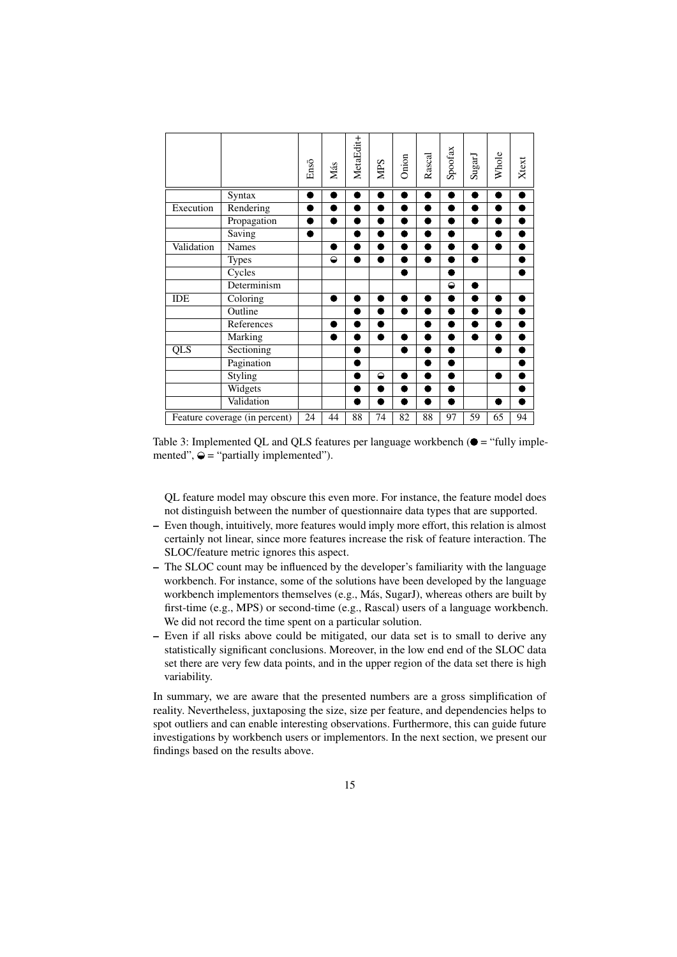<span id="page-14-0"></span>

|                               |                | Ensō | Más | MetaEdit+ | <b>NIPS</b> | Onion | Rascal | Spoofax   | SugarJ | Whole | Xtext |
|-------------------------------|----------------|------|-----|-----------|-------------|-------|--------|-----------|--------|-------|-------|
|                               | Syntax         | ٠    | ۰   |           | ●           |       | ٠      |           |        | ●     |       |
| Execution                     | Rendering      | ь    |     |           |             |       | ٦      |           |        |       |       |
|                               | Propagation    |      |     |           |             |       | ٠      |           |        |       |       |
|                               | Saving         | D    |     |           | D           |       | D      |           |        | ●     |       |
| Validation                    | Names          |      |     |           |             |       | D      |           |        |       |       |
|                               | <b>Types</b>   |      | ◒   |           |             |       | ٠      |           |        |       |       |
|                               | Cycles         |      |     |           |             |       |        |           |        |       |       |
|                               | Determinism    |      |     |           |             |       |        | $\bullet$ |        |       |       |
| <b>IDE</b>                    | Coloring       |      |     |           | ٠           |       | ٠      |           |        |       |       |
|                               | Outline        |      |     |           |             |       | ٠      |           |        |       |       |
|                               | References     |      |     |           |             |       | D      |           |        |       |       |
|                               | Marking        |      |     |           |             |       | b      |           |        |       |       |
| <b>QLS</b>                    | Sectioning     |      |     |           |             | e     | ●      |           |        | ●     |       |
|                               | Pagination     |      |     |           |             |       | D      |           |        |       |       |
|                               | <b>Styling</b> |      |     |           | $\bullet$   |       | ۸      |           |        | ▲     |       |
|                               | Widgets        |      |     |           |             |       | ٠      |           |        |       |       |
|                               | Validation     |      |     |           |             |       |        |           |        |       |       |
| Feature coverage (in percent) |                | 24   | 44  | 88        | 74          | 82    | 88     | 97        | 59     | 65    | 94    |

Table 3: Implemented QL and QLS features per language workbench  $(\bullet =$  "fully implemented",  $\Theta$  = "partially implemented").

QL feature model may obscure this even more. For instance, the feature model does not distinguish between the number of questionnaire data types that are supported.

- Even though, intuitively, more features would imply more effort, this relation is almost certainly not linear, since more features increase the risk of feature interaction. The SLOC/feature metric ignores this aspect.
- The SLOC count may be influenced by the developer's familiarity with the language workbench. For instance, some of the solutions have been developed by the language workbench implementors themselves (e.g., Más, SugarJ), whereas others are built by first-time (e.g., MPS) or second-time (e.g., Rascal) users of a language workbench. We did not record the time spent on a particular solution.
- Even if all risks above could be mitigated, our data set is to small to derive any statistically significant conclusions. Moreover, in the low end end of the SLOC data set there are very few data points, and in the upper region of the data set there is high variability.

In summary, we are aware that the presented numbers are a gross simplification of reality. Nevertheless, juxtaposing the size, size per feature, and dependencies helps to spot outliers and can enable interesting observations. Furthermore, this can guide future investigations by workbench users or implementors. In the next section, we present our findings based on the results above.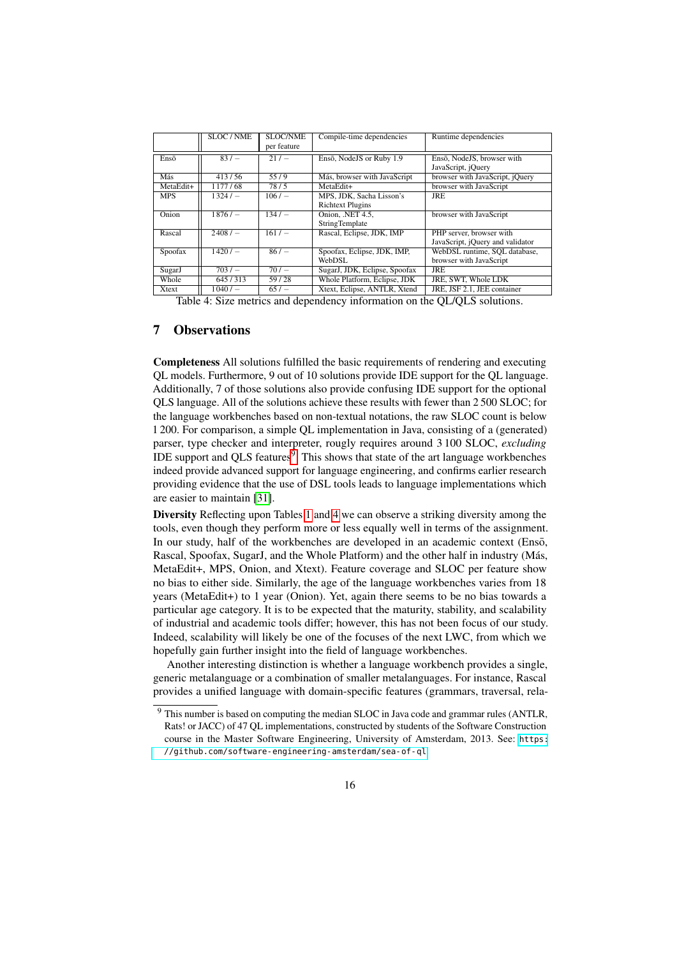<span id="page-15-1"></span>

|            | SLOC / NME | <b>SLOC/NME</b> | Compile-time dependencies     | Runtime dependencies             |  |  |  |
|------------|------------|-----------------|-------------------------------|----------------------------------|--|--|--|
|            |            | per feature     |                               |                                  |  |  |  |
| Ensō       | 83/        | $211 -$         | Ensō, NodeJS or Ruby 1.9      | Ensō, NodeJS, browser with       |  |  |  |
|            |            |                 |                               | JavaScript, jOuery               |  |  |  |
| Más        | 413/56     | 55/9            | Más, browser with JavaScript  | browser with JavaScript, jOuery  |  |  |  |
| MetaEdit+  | 1177/68    | 78/5            | MetaEdit+                     | browser with JavaScript          |  |  |  |
| <b>MPS</b> | 1324/      | 106/            | MPS. JDK. Sacha Lisson's      | JRE                              |  |  |  |
|            |            |                 | <b>Richtext Plugins</b>       |                                  |  |  |  |
| Onion      | 1876/      | 134/            | Onion. NET 4.5.               | browser with JavaScript          |  |  |  |
|            |            |                 | StringTemplate                |                                  |  |  |  |
| Rascal     | 2408/      | 161/            | Rascal, Eclipse, JDK, IMP     | PHP server, browser with         |  |  |  |
|            |            |                 |                               | JavaScript, jQuery and validator |  |  |  |
| Spoofax    | 1420/      | 86/             | Spoofax, Eclipse, JDK, IMP,   | WebDSL runtime, SOL database,    |  |  |  |
|            |            |                 | WebDSL                        | browser with JavaScript          |  |  |  |
| SugarJ     | 703/       | $70/-$          | SugarJ, JDK, Eclipse, Spoofax | JRE                              |  |  |  |
| Whole      | 645/313    | 59/28           | Whole Platform, Eclipse, JDK  | JRE, SWT, Whole LDK              |  |  |  |
| Xtext      | $1040/$ –  | 65/             | Xtext, Eclipse, ANTLR, Xtend  | JRE, JSF 2.1, JEE container      |  |  |  |

Table 4: Size metrics and dependency information on the QL/QLS solutions.

# <span id="page-15-0"></span>7 Observations

Completeness All solutions fulfilled the basic requirements of rendering and executing QL models. Furthermore, 9 out of 10 solutions provide IDE support for the QL language. Additionally, 7 of those solutions also provide confusing IDE support for the optional QLS language. All of the solutions achieve these results with fewer than 2 500 SLOC; for the language workbenches based on non-textual notations, the raw SLOC count is below 1 200. For comparison, a simple QL implementation in Java, consisting of a (generated) parser, type checker and interpreter, rougly requires around 3 100 SLOC, *excluding* IDE support and QLS features<sup>[9](#page-15-2)</sup>. This shows that state of the art language workbenches indeed provide advanced support for language engineering, and confirms earlier research providing evidence that the use of DSL tools leads to language implementations which are easier to maintain [\[31\]](#page-18-25).

Diversity Reflecting upon Tables [1](#page-9-0) and [4](#page-15-1) we can observe a striking diversity among the tools, even though they perform more or less equally well in terms of the assignment. In our study, half of the workbenches are developed in an academic context (Ensō, Rascal, Spoofax, SugarJ, and the Whole Platform) and the other half in industry (Más, MetaEdit+, MPS, Onion, and Xtext). Feature coverage and SLOC per feature show no bias to either side. Similarly, the age of the language workbenches varies from 18 years (MetaEdit+) to 1 year (Onion). Yet, again there seems to be no bias towards a particular age category. It is to be expected that the maturity, stability, and scalability of industrial and academic tools differ; however, this has not been focus of our study. Indeed, scalability will likely be one of the focuses of the next LWC, from which we hopefully gain further insight into the field of language workbenches.

Another interesting distinction is whether a language workbench provides a single, generic metalanguage or a combination of smaller metalanguages. For instance, Rascal provides a unified language with domain-specific features (grammars, traversal, rela-

<span id="page-15-2"></span><sup>9</sup> This number is based on computing the median SLOC in Java code and grammar rules (ANTLR, Rats! or JACC) of 47 QL implementations, constructed by students of the Software Construction course in the Master Software Engineering, University of Amsterdam, 2013. See: [https:](https://github.com/software-engineering-amsterdam/sea-of-ql) [//github.com/software-engineering-amsterdam/sea-of-ql](https://github.com/software-engineering-amsterdam/sea-of-ql).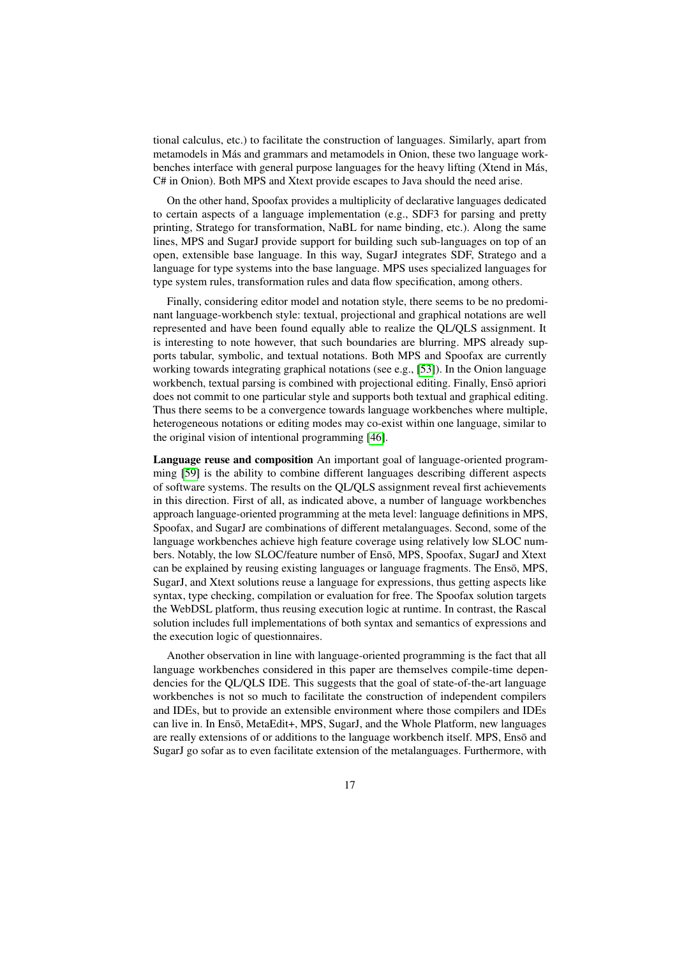tional calculus, etc.) to facilitate the construction of languages. Similarly, apart from metamodels in Más and grammars and metamodels in Onion, these two language workbenches interface with general purpose languages for the heavy lifting (Xtend in Más, C# in Onion). Both MPS and Xtext provide escapes to Java should the need arise.

On the other hand, Spoofax provides a multiplicity of declarative languages dedicated to certain aspects of a language implementation (e.g., SDF3 for parsing and pretty printing, Stratego for transformation, NaBL for name binding, etc.). Along the same lines, MPS and SugarJ provide support for building such sub-languages on top of an open, extensible base language. In this way, SugarJ integrates SDF, Stratego and a language for type systems into the base language. MPS uses specialized languages for type system rules, transformation rules and data flow specification, among others.

Finally, considering editor model and notation style, there seems to be no predominant language-workbench style: textual, projectional and graphical notations are well represented and have been found equally able to realize the QL/QLS assignment. It is interesting to note however, that such boundaries are blurring. MPS already supports tabular, symbolic, and textual notations. Both MPS and Spoofax are currently working towards integrating graphical notations (see e.g., [\[53\]](#page-19-24)). In the Onion language workbench, textual parsing is combined with projectional editing. Finally, Enso apriori does not commit to one particular style and supports both textual and graphical editing. Thus there seems to be a convergence towards language workbenches where multiple, heterogeneous notations or editing modes may co-exist within one language, similar to the original vision of intentional programming [\[46\]](#page-19-10).

Language reuse and composition An important goal of language-oriented programming [\[59\]](#page-19-0) is the ability to combine different languages describing different aspects of software systems. The results on the QL/QLS assignment reveal first achievements in this direction. First of all, as indicated above, a number of language workbenches approach language-oriented programming at the meta level: language definitions in MPS, Spoofax, and SugarJ are combinations of different metalanguages. Second, some of the language workbenches achieve high feature coverage using relatively low SLOC numbers. Notably, the low SLOC/feature number of Ensō, MPS, Spoofax, SugarJ and Xtext can be explained by reusing existing languages or language fragments. The Ensō, MPS, SugarJ, and Xtext solutions reuse a language for expressions, thus getting aspects like syntax, type checking, compilation or evaluation for free. The Spoofax solution targets the WebDSL platform, thus reusing execution logic at runtime. In contrast, the Rascal solution includes full implementations of both syntax and semantics of expressions and the execution logic of questionnaires.

Another observation in line with language-oriented programming is the fact that all language workbenches considered in this paper are themselves compile-time dependencies for the QL/QLS IDE. This suggests that the goal of state-of-the-art language workbenches is not so much to facilitate the construction of independent compilers and IDEs, but to provide an extensible environment where those compilers and IDEs can live in. In Ensō, MetaEdit+, MPS, SugarJ, and the Whole Platform, new languages are really extensions of or additions to the language workbench itself. MPS, Ensō and SugarJ go sofar as to even facilitate extension of the metalanguages. Furthermore, with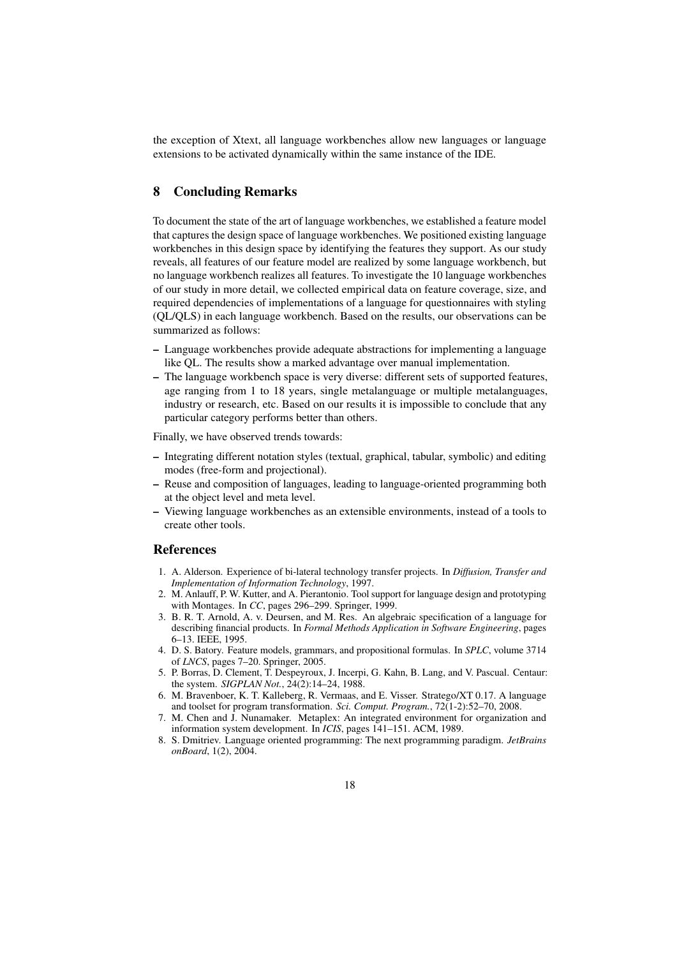the exception of Xtext, all language workbenches allow new languages or language extensions to be activated dynamically within the same instance of the IDE.

# 8 Concluding Remarks

To document the state of the art of language workbenches, we established a feature model that captures the design space of language workbenches. We positioned existing language workbenches in this design space by identifying the features they support. As our study reveals, all features of our feature model are realized by some language workbench, but no language workbench realizes all features. To investigate the 10 language workbenches of our study in more detail, we collected empirical data on feature coverage, size, and required dependencies of implementations of a language for questionnaires with styling (QL/QLS) in each language workbench. Based on the results, our observations can be summarized as follows:

- Language workbenches provide adequate abstractions for implementing a language like QL. The results show a marked advantage over manual implementation.
- The language workbench space is very diverse: different sets of supported features, age ranging from 1 to 18 years, single metalanguage or multiple metalanguages, industry or research, etc. Based on our results it is impossible to conclude that any particular category performs better than others.

Finally, we have observed trends towards:

- Integrating different notation styles (textual, graphical, tabular, symbolic) and editing modes (free-form and projectional).
- Reuse and composition of languages, leading to language-oriented programming both at the object level and meta level.
- Viewing language workbenches as an extensible environments, instead of a tools to create other tools.

# **References**

- <span id="page-17-4"></span>1. A. Alderson. Experience of bi-lateral technology transfer projects. In *Diffusion, Transfer and Implementation of Information Technology*, 1997.
- <span id="page-17-3"></span>2. M. Anlauff, P. W. Kutter, and A. Pierantonio. Tool support for language design and prototyping with Montages. In *CC*, pages 296–299. Springer, 1999.
- <span id="page-17-5"></span>3. B. R. T. Arnold, A. v. Deursen, and M. Res. An algebraic specification of a language for describing financial products. In *Formal Methods Application in Software Engineering*, pages 6–13. IEEE, 1995.
- <span id="page-17-6"></span>4. D. S. Batory. Feature models, grammars, and propositional formulas. In *SPLC*, volume 3714 of *LNCS*, pages 7–20. Springer, 2005.
- <span id="page-17-2"></span>5. P. Borras, D. Clement, T. Despeyroux, J. Incerpi, G. Kahn, B. Lang, and V. Pascual. Centaur: the system. *SIGPLAN Not.*, 24(2):14–24, 1988.
- <span id="page-17-7"></span>6. M. Bravenboer, K. T. Kalleberg, R. Vermaas, and E. Visser. Stratego/XT 0.17. A language and toolset for program transformation. *Sci. Comput. Program.*, 72(1-2):52–70, 2008.
- <span id="page-17-1"></span>7. M. Chen and J. Nunamaker. Metaplex: An integrated environment for organization and information system development. In *ICIS*, pages 141–151. ACM, 1989.
- <span id="page-17-0"></span>8. S. Dmitriev. Language oriented programming: The next programming paradigm. *JetBrains onBoard*, 1(2), 2004.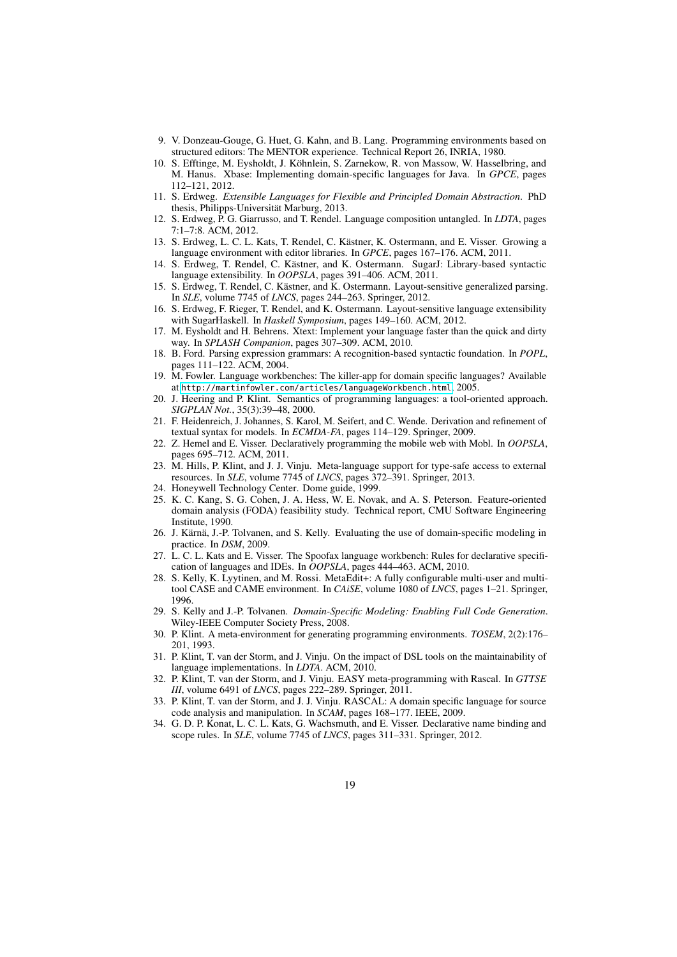- <span id="page-18-9"></span>9. V. Donzeau-Gouge, G. Huet, G. Kahn, and B. Lang. Programming environments based on structured editors: The MENTOR experience. Technical Report 26, INRIA, 1980.
- <span id="page-18-23"></span>10. S. Efftinge, M. Eysholdt, J. Köhnlein, S. Zarnekow, R. von Massow, W. Hasselbring, and M. Hanus. Xbase: Implementing domain-specific languages for Java. In *GPCE*, pages 112–121, 2012.
- <span id="page-18-18"></span>11. S. Erdweg. *Extensible Languages for Flexible and Principled Domain Abstraction*. PhD thesis, Philipps-Universität Marburg, 2013.
- <span id="page-18-14"></span>12. S. Erdweg, P. G. Giarrusso, and T. Rendel. Language composition untangled. In *LDTA*, pages 7:1–7:8. ACM, 2012.
- <span id="page-18-20"></span>13. S. Erdweg, L. C. L. Kats, T. Rendel, C. Kästner, K. Ostermann, and E. Visser. Growing a language environment with editor libraries. In *GPCE*, pages 167–176. ACM, 2011.
- <span id="page-18-19"></span>14. S. Erdweg, T. Rendel, C. Kästner, and K. Ostermann. SugarJ: Library-based syntactic language extensibility. In *OOPSLA*, pages 391–406. ACM, 2011.
- <span id="page-18-21"></span>15. S. Erdweg, T. Rendel, C. Kästner, and K. Ostermann. Layout-sensitive generalized parsing. In *SLE*, volume 7745 of *LNCS*, pages 244–263. Springer, 2012.
- <span id="page-18-22"></span>16. S. Erdweg, F. Rieger, T. Rendel, and K. Ostermann. Layout-sensitive language extensibility with SugarHaskell. In *Haskell Symposium*, pages 149–160. ACM, 2012.
- <span id="page-18-8"></span>17. M. Eysholdt and H. Behrens. Xtext: Implement your language faster than the quick and dirty way. In *SPLASH Companion*, pages 307–309. ACM, 2010.
- <span id="page-18-24"></span>18. B. Ford. Parsing expression grammars: A recognition-based syntactic foundation. In *POPL*, pages 111–122. ACM, 2004.
- <span id="page-18-0"></span>19. M. Fowler. Language workbenches: The killer-app for domain specific languages? Available at <http://martinfowler.com/articles/languageWorkbench.html>, 2005.
- <span id="page-18-4"></span>20. J. Heering and P. Klint. Semantics of programming languages: a tool-oriented approach. *SIGPLAN Not.*, 35(3):39–48, 2000.
- <span id="page-18-13"></span>21. F. Heidenreich, J. Johannes, S. Karol, M. Seifert, and C. Wende. Derivation and refinement of textual syntax for models. In *ECMDA-FA*, pages 114–129. Springer, 2009.
- <span id="page-18-11"></span>22. Z. Hemel and E. Visser. Declaratively programming the mobile web with Mobl. In *OOPSLA*, pages 695–712. ACM, 2011.
- <span id="page-18-16"></span>23. M. Hills, P. Klint, and J. J. Vinju. Meta-language support for type-safe access to external resources. In *SLE*, volume 7745 of *LNCS*, pages 372–391. Springer, 2013.
- <span id="page-18-2"></span>24. Honeywell Technology Center. Dome guide, 1999.
- <span id="page-18-12"></span>25. K. C. Kang, S. G. Cohen, J. A. Hess, W. E. Novak, and A. S. Peterson. Feature-oriented domain analysis (FODA) feasibility study. Technical report, CMU Software Engineering Institute, 1990.
- <span id="page-18-10"></span>26. J. Kärnä, J.-P. Tolvanen, and S. Kelly. Evaluating the use of domain-specific modeling in practice. In *DSM*, 2009.
- <span id="page-18-7"></span>27. L. C. L. Kats and E. Visser. The Spoofax language workbench: Rules for declarative specification of languages and IDEs. In *OOPSLA*, pages 444–463. ACM, 2010.
- <span id="page-18-1"></span>28. S. Kelly, K. Lyytinen, and M. Rossi. MetaEdit+: A fully configurable multi-user and multitool CASE and CAME environment. In *CAiSE*, volume 1080 of *LNCS*, pages 1–21. Springer, 1996.
- <span id="page-18-15"></span>29. S. Kelly and J.-P. Tolvanen. *Domain-Specific Modeling: Enabling Full Code Generation*. Wiley-IEEE Computer Society Press, 2008.
- <span id="page-18-3"></span>30. P. Klint. A meta-environment for generating programming environments. *TOSEM*, 2(2):176– 201, 1993.
- <span id="page-18-25"></span>31. P. Klint, T. van der Storm, and J. Vinju. On the impact of DSL tools on the maintainability of language implementations. In *LDTA*. ACM, 2010.
- <span id="page-18-5"></span>32. P. Klint, T. van der Storm, and J. Vinju. EASY meta-programming with Rascal. In *GTTSE III*, volume 6491 of *LNCS*, pages 222–289. Springer, 2011.
- <span id="page-18-6"></span>33. P. Klint, T. van der Storm, and J. J. Vinju. RASCAL: A domain specific language for source code analysis and manipulation. In *SCAM*, pages 168–177. IEEE, 2009.
- <span id="page-18-17"></span>34. G. D. P. Konat, L. C. L. Kats, G. Wachsmuth, and E. Visser. Declarative name binding and scope rules. In *SLE*, volume 7745 of *LNCS*, pages 311–331. Springer, 2012.